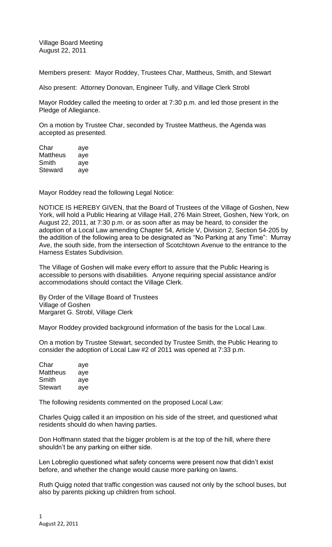Village Board Meeting August 22, 2011

Members present: Mayor Roddey, Trustees Char, Mattheus, Smith, and Stewart

Also present: Attorney Donovan, Engineer Tully, and Village Clerk Strobl

Mayor Roddey called the meeting to order at 7:30 p.m. and led those present in the Pledge of Allegiance.

On a motion by Trustee Char, seconded by Trustee Mattheus, the Agenda was accepted as presented.

| Char     | aye |
|----------|-----|
| Mattheus | aye |
| Smith    | aye |
| Steward  | aye |

Mayor Roddey read the following Legal Notice:

NOTICE IS HEREBY GIVEN, that the Board of Trustees of the Village of Goshen, New York, will hold a Public Hearing at Village Hall, 276 Main Street, Goshen, New York, on August 22, 2011, at 7:30 p.m. or as soon after as may be heard, to consider the adoption of a Local Law amending Chapter 54, Article V, Division 2, Section 54-205 by the addition of the following area to be designated as "No Parking at any Time": Murray Ave, the south side, from the intersection of Scotchtown Avenue to the entrance to the Harness Estates Subdivision.

The Village of Goshen will make every effort to assure that the Public Hearing is accessible to persons with disabilities. Anyone requiring special assistance and/or accommodations should contact the Village Clerk.

By Order of the Village Board of Trustees Village of Goshen Margaret G. Strobl, Village Clerk

Mayor Roddey provided background information of the basis for the Local Law.

On a motion by Trustee Stewart, seconded by Trustee Smith, the Public Hearing to consider the adoption of Local Law #2 of 2011 was opened at 7:33 p.m.

| Char           | aye |
|----------------|-----|
| Mattheus       | aye |
| Smith          | aye |
| <b>Stewart</b> | aye |

The following residents commented on the proposed Local Law:

Charles Quigg called it an imposition on his side of the street, and questioned what residents should do when having parties.

Don Hoffmann stated that the bigger problem is at the top of the hill, where there shouldn't be any parking on either side.

Len Lobreglio questioned what safety concerns were present now that didn't exist before, and whether the change would cause more parking on lawns.

Ruth Quigg noted that traffic congestion was caused not only by the school buses, but also by parents picking up children from school.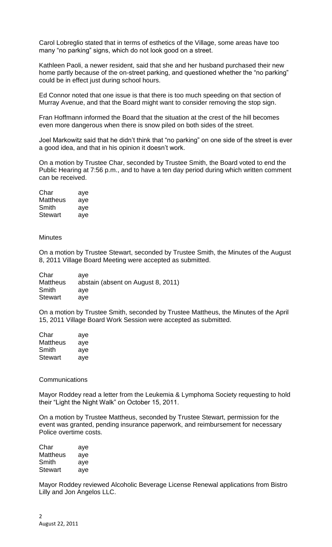Carol Lobreglio stated that in terms of esthetics of the Village, some areas have too many "no parking" signs, which do not look good on a street.

Kathleen Paoli, a newer resident, said that she and her husband purchased their new home partly because of the on-street parking, and questioned whether the "no parking" could be in effect just during school hours.

Ed Connor noted that one issue is that there is too much speeding on that section of Murray Avenue, and that the Board might want to consider removing the stop sign.

Fran Hoffmann informed the Board that the situation at the crest of the hill becomes even more dangerous when there is snow piled on both sides of the street.

Joel Markowitz said that he didn't think that "no parking" on one side of the street is ever a good idea, and that in his opinion it doesn't work.

On a motion by Trustee Char, seconded by Trustee Smith, the Board voted to end the Public Hearing at 7:56 p.m., and to have a ten day period during which written comment can be received.

Char aye Mattheus aye Smith aye Stewart aye

**Minutes** 

On a motion by Trustee Stewart, seconded by Trustee Smith, the Minutes of the August 8, 2011 Village Board Meeting were accepted as submitted.

| Char            | ave                                |
|-----------------|------------------------------------|
| <b>Mattheus</b> | abstain (absent on August 8, 2011) |
| Smith           | ave                                |
| <b>Stewart</b>  | ave                                |

On a motion by Trustee Smith, seconded by Trustee Mattheus, the Minutes of the April 15, 2011 Village Board Work Session were accepted as submitted.

| Char           | aye |
|----------------|-----|
| Mattheus       | aye |
| Smith          | aye |
| <b>Stewart</b> | aye |

#### Communications

Mayor Roddey read a letter from the Leukemia & Lymphoma Society requesting to hold their "Light the Night Walk" on October 15, 2011.

On a motion by Trustee Mattheus, seconded by Trustee Stewart, permission for the event was granted, pending insurance paperwork, and reimbursement for necessary Police overtime costs.

| Char           | aye |
|----------------|-----|
| Mattheus       | aye |
| Smith          | aye |
| <b>Stewart</b> | aye |

Mayor Roddey reviewed Alcoholic Beverage License Renewal applications from Bistro Lilly and Jon Angelos LLC.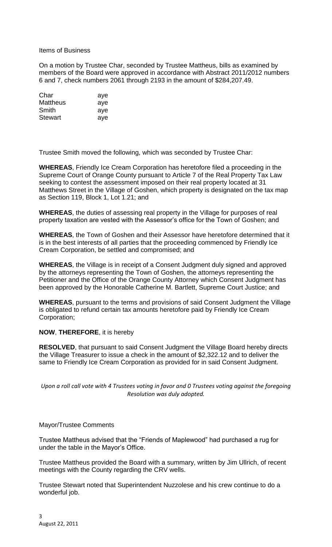## Items of Business

On a motion by Trustee Char, seconded by Trustee Mattheus, bills as examined by members of the Board were approved in accordance with Abstract 2011/2012 numbers 6 and 7, check numbers 2061 through 2193 in the amount of \$284,207.49.

| aye |
|-----|
| aye |
| aye |
| aye |
|     |

Trustee Smith moved the following, which was seconded by Trustee Char:

**WHEREAS**, Friendly Ice Cream Corporation has heretofore filed a proceeding in the Supreme Court of Orange County pursuant to Article 7 of the Real Property Tax Law seeking to contest the assessment imposed on their real property located at 31 Matthews Street in the Village of Goshen, which property is designated on the tax map as Section 119, Block 1, Lot 1.21; and

**WHEREAS**, the duties of assessing real property in the Village for purposes of real property taxation are vested with the Assessor's office for the Town of Goshen; and

**WHEREAS**, the Town of Goshen and their Assessor have heretofore determined that it is in the best interests of all parties that the proceeding commenced by Friendly Ice Cream Corporation, be settled and compromised; and

**WHEREAS**, the Village is in receipt of a Consent Judgment duly signed and approved by the attorneys representing the Town of Goshen, the attorneys representing the Petitioner and the Office of the Orange County Attorney which Consent Judgment has been approved by the Honorable Catherine M. Bartlett, Supreme Court Justice; and

**WHEREAS**, pursuant to the terms and provisions of said Consent Judgment the Village is obligated to refund certain tax amounts heretofore paid by Friendly Ice Cream Corporation;

# **NOW**, **THEREFORE**, it is hereby

**RESOLVED**, that pursuant to said Consent Judgment the Village Board hereby directs the Village Treasurer to issue a check in the amount of \$2,322.12 and to deliver the same to Friendly Ice Cream Corporation as provided for in said Consent Judgment.

*Upon a roll call vote with 4 Trustees voting in favor and 0 Trustees voting against the foregoing Resolution was duly adopted.*

### Mayor/Trustee Comments

Trustee Mattheus advised that the "Friends of Maplewood" had purchased a rug for under the table in the Mayor's Office.

Trustee Mattheus provided the Board with a summary, written by Jim Ullrich, of recent meetings with the County regarding the CRV wells.

Trustee Stewart noted that Superintendent Nuzzolese and his crew continue to do a wonderful job.